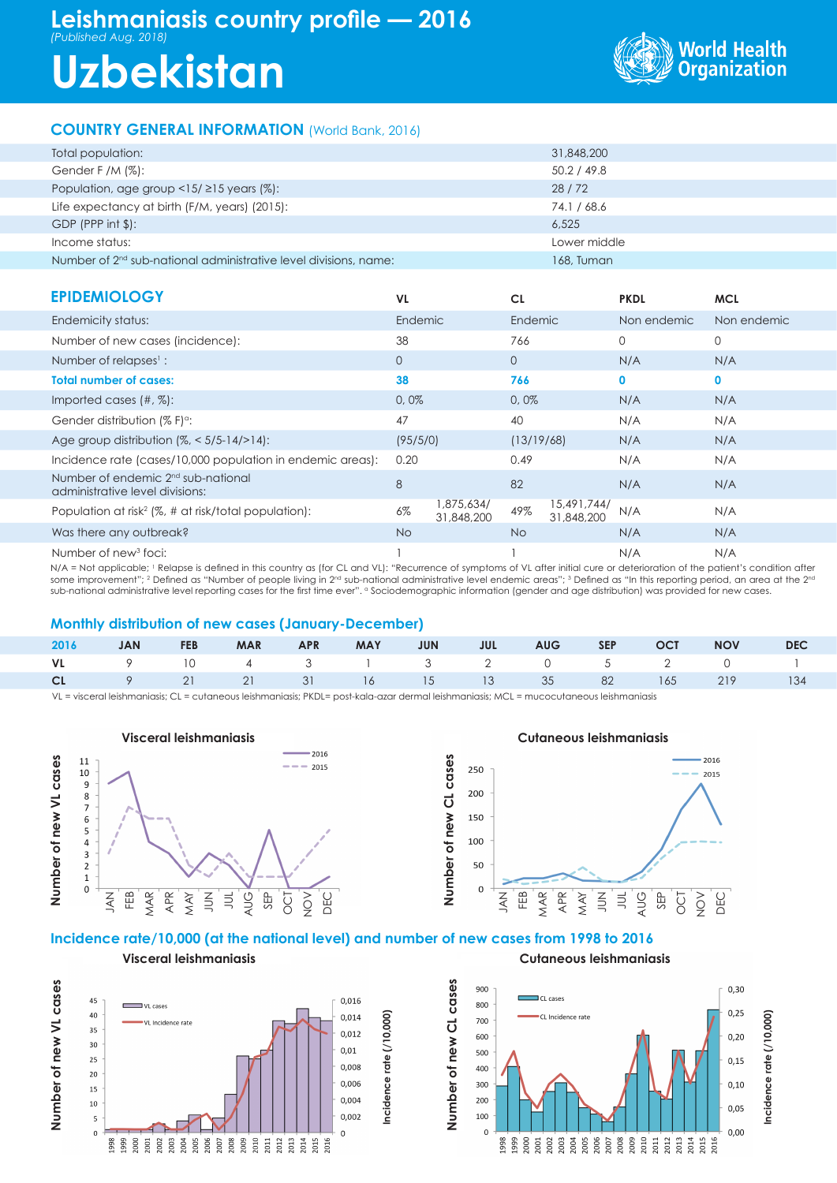## **Leishmaniasis country profile — 2016** *(Published Aug. 2018)*

# **Uzbekistan**



### **COUNTRY GENERAL INFORMATION** (World Bank, 2016)

| Total population:                                                  | 31,848,200   |
|--------------------------------------------------------------------|--------------|
| Gender F /M $(\%)$ :                                               | 50.2 / 49.8  |
| Population, age group $\langle 15/215 \rangle$ years (%):          | 28/72        |
| Life expectancy at birth (F/M, years) (2015):                      | 74.1 / 68.6  |
| $GDP$ (PPP int $$$ ):                                              | 6.525        |
| Income status:                                                     | Lower middle |
| Number of $2nd$ sub-national administrative level divisions, name: | 168, Tuman   |

| <b>EPIDEMIOLOGY</b>                                                               | <b>VL</b>    |                          | <b>CL</b>    |                           | <b>PKDL</b>  | <b>MCL</b>  |
|-----------------------------------------------------------------------------------|--------------|--------------------------|--------------|---------------------------|--------------|-------------|
| Endemicity status:                                                                | Endemic      |                          | Endemic      |                           | Non endemic  | Non endemic |
| Number of new cases (incidence):                                                  | 38           |                          | 766          |                           | $\Omega$     | 0           |
| Number of relapses <sup>1</sup> :                                                 | $\mathbf{0}$ |                          | $\mathbf{O}$ |                           | N/A          | N/A         |
| <b>Total number of cases:</b>                                                     | 38           |                          | 766          |                           | $\mathbf{0}$ | $\mathbf 0$ |
| Imported cases $(\#$ , $\%)$ :                                                    | 0,0%         |                          | 0,0%         |                           | N/A          | N/A         |
| Gender distribution $(\% F)^{\circ}$ :                                            | 47           |                          | 40           |                           | N/A          | N/A         |
| Age group distribution $(%, < 5/5 - 14/>14)$ :                                    | (95/5/0)     |                          | (13/19/68)   |                           | N/A          | N/A         |
| Incidence rate (cases/10,000 population in endemic areas):                        | 0.20         |                          | 0.49         |                           | N/A          | N/A         |
| Number of endemic 2 <sup>nd</sup> sub-national<br>administrative level divisions: | 8            |                          | 82           |                           | N/A          | N/A         |
| Population at risk <sup>2</sup> (%, # at risk/total population):                  | $6\%$        | 1,875,634/<br>31,848,200 | 49%          | 15,491,744/<br>31,848,200 | N/A          | N/A         |
| Was there any outbreak?                                                           | No.          |                          | No.          |                           | N/A          | N/A         |
| Number of new <sup>3</sup> foci:                                                  |              |                          |              |                           | N/A          | N/A         |

N/A = Not applicable; <sup>1</sup> Relapse is defined in this country as (for CL and VL): "Recurrence of symptoms of VL after initial cure or deterioration of the patient's condition after some improvement"; <sup>2</sup> Defined as "Number of people living in 2<sup>nd</sup> sub-national administrative level endemic areas"; <sup>3</sup> Defined as "In this reporting period, an area at the 2<sup>nd</sup> sub-national administrative level reporting cases for the first time ever". "Sociodemographic information (gender and age distribution) was provided for new cases.

#### **Monthly distribution of new cases (January-December)**

|  |  |  |  |  | 2016 JAN FEB MAR APR MAY JUN JUL AUG SEP OCT NOV DEC |  |
|--|--|--|--|--|------------------------------------------------------|--|
|  |  |  |  |  | VL 9 10 4 3 1 3 2 0 5 2 0 1                          |  |
|  |  |  |  |  | CL 9 21 21 31 16 15 13 35 82 165 219 134             |  |

VL = visceral leishmaniasis; CL = cutaneous leishmaniasis; PKDL= post-kala-azar dermal leishmaniasis; MCL = mucocutaneous leishmaniasis



**Visceral leishmaniasis**



#### **Incidence rate/10,000 (at the national level) and number of new cases from 1998 to 2016**

**Incidence rate (/10,000)**

Number of new VL cases **Number of new VL cases**





**Cutaneous leishmaniasis**